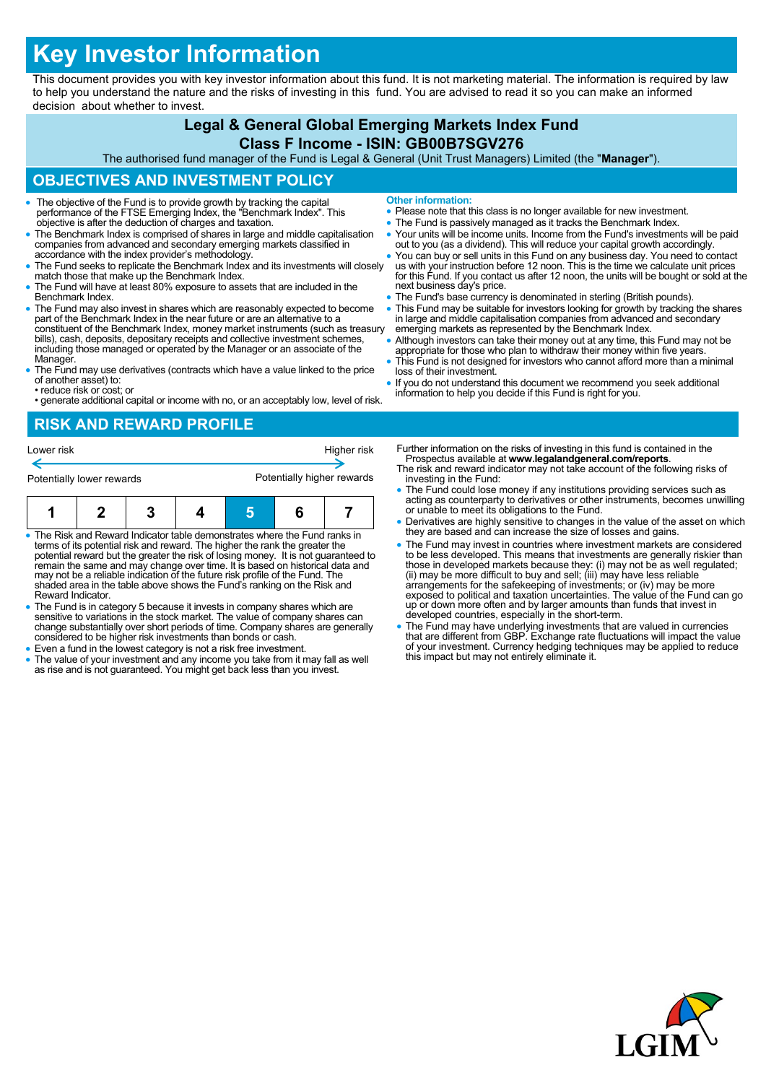# **Key Investor Information**

This document provides you with key investor information about this fund. It is not marketing material. The information is required by law to help you understand the nature and the risks of investing in this fund. You are advised to read it so you can make an informed decision about whether to invest.

# **Legal & General Global Emerging Markets Index Fund**

#### **Class F Income - ISIN: GB00B7SGV276**

The authorised fund manager of the Fund is Legal & General (Unit Trust Managers) Limited (the "**Manager**").

### **OBJECTIVES AND INVESTMENT POLICY**

- The objective of the Fund is to provide growth by tracking the capital performance of the FTSE Emerging Index, the "Benchmark Index". This objective is after the deduction of charges and taxation.
- The Benchmark Index is comprised of shares in large and middle capitalisation companies from advanced and secondary emerging markets classified in accordance with the index provider's methodology.
- The Fund seeks to replicate the Benchmark Index and its investments will closely match those that make up the Benchmark Index.
- The Fund will have at least 80% exposure to assets that are included in the Benchmark Index.
- The Fund may also invest in shares which are reasonably expected to become part of the Benchmark Index in the near future or are an alternative to a constituent of the Benchmark Index, money market instruments (such as treasury bills), cash, deposits, depositary receipts and collective investment schemes, including those managed or operated by the Manager or an associate of the Manager.
- The Fund may use derivatives (contracts which have a value linked to the price of another asset) to:
- reduce risk or cost; or • generate additional capital or income with no, or an acceptably low, level of risk.

**Other information:**

- Please note that this class is no longer available for new investment.
- The Fund is passively managed as it tracks the Benchmark Index. Your units will be income units. Income from the Fund's investments will be paid out to you (as a dividend). This will reduce your capital growth accordingly.
- You can buy or sell units in this Fund on any business day. You need to contact us with your instruction before 12 noon. This is the time we calculate unit prices for this Fund. If you contact us after 12 noon, the units will be bought or sold at the next business day's price.
- **The Fund's base currency is denominated in sterling (British pounds)**
- This Fund may be suitable for investors looking for growth by tracking the shares in large and middle capitalisation companies from advanced and secondary emerging markets as represented by the Benchmark Index.
- Although investors can take their money out at any time, this Fund may not be appropriate for those who plan to withdraw their money within five years. This Fund is not designed for investors who cannot afford more than a minimal
- loss of their investment. • If you do not understand this document we recommend you seek additional
- information to help you decide if this Fund is right for you.

# **RISK AND REWARD PROFILE**



- The Risk and Reward Indicator table demonstrates where the Fund ranks in terms of its potential risk and reward. The higher the rank the greater the potential reward but the greater the risk of losing money. It is not guaranteed to remain the same and may change over time. It is based on historical data and may not be a reliable indication of the future risk profile of the Fund. The shaded area in the table above shows the Fund's ranking on the Risk and Reward Indicator.
- The Fund is in category 5 because it invests in company shares which are sensitive to variations in the stock market. The value of company shares can change substantially over short periods of time. Company shares are generally considered to be higher risk investments than bonds or cash.
- Even a fund in the lowest category is not a risk free investment.
- The value of your investment and any income you take from it may fall as well as rise and is not guaranteed. You might get back less than you invest.
- Further information on the risks of investing in this fund is contained in the Prospectus available at **www.legalandgeneral.com/reports**.
- The risk and reward indicator may not take account of the following risks of investing in the Fund:
- The Fund could lose money if any institutions providing services such as acting as counterparty to derivatives or other instruments, becomes unwilling or unable to meet its obligations to the Fund.
- Derivatives are highly sensitive to changes in the value of the asset on which they are based and can increase the size of losses and gains.
- The Fund may invest in countries where investment markets are considered to be less developed. This means that investments are generally riskier than<br>those in developed markets because they: (i) may not be as well regulated;<br>(ii) may be more difficult to buy and sell; (iii) may have less reliab exposed to political and taxation uncertainties. The value of the Fund can go up or down more often and by larger amounts than funds that invest in developed countries, especially in the short-term.
- The Fund may have underlying investments that are valued in currencies that are different from GBP. Exchange rate fluctuations will impact the value of your investment. Currency hedging techniques may be applied to reduce this impact but may not entirely eliminate it.